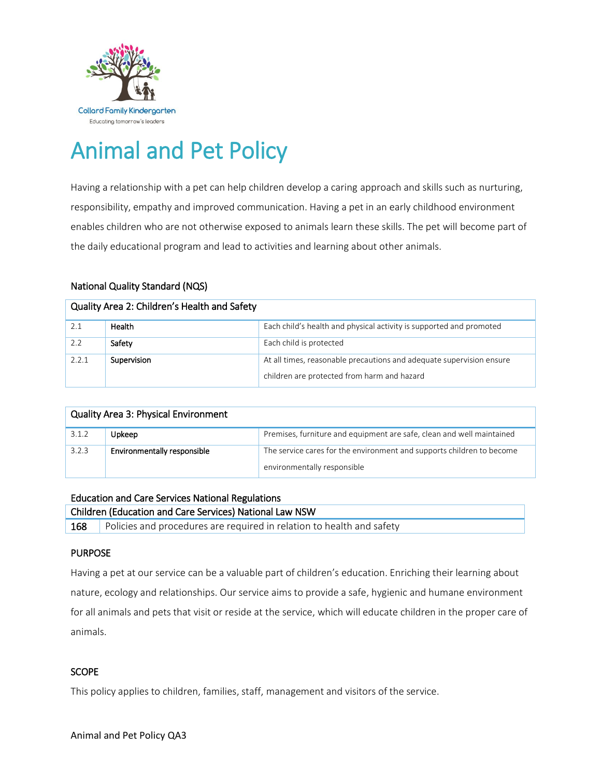

# Animal and Pet Policy

Having a relationship with a pet can help children develop a caring approach and skills such as nurturing, responsibility, empathy and improved communication. Having a pet in an early childhood environment enables children who are not otherwise exposed to animals learn these skills. The pet will become part of the daily educational program and lead to activities and learning about other animals.

# National Quality Standard (NQS)

| Quality Area 2: Children's Health and Safety |             |                                                                                                                     |  |  |  |
|----------------------------------------------|-------------|---------------------------------------------------------------------------------------------------------------------|--|--|--|
|                                              | Health      | Each child's health and physical activity is supported and promoted                                                 |  |  |  |
| 2.2                                          | Safety      | Each child is protected                                                                                             |  |  |  |
| 2.2.1                                        | Supervision | At all times, reasonable precautions and adequate supervision ensure<br>children are protected from harm and hazard |  |  |  |

| <b>Quality Area 3: Physical Environment</b> |                             |                                                                                                      |  |  |
|---------------------------------------------|-----------------------------|------------------------------------------------------------------------------------------------------|--|--|
| 3.1.2                                       | Upkeep                      | Premises, furniture and equipment are safe, clean and well maintained                                |  |  |
| 3.2.3                                       | Environmentally responsible | The service cares for the environment and supports children to become<br>environmentally responsible |  |  |

| <b>Education and Care Services National Regulations</b> |                                                                       |  |  |  |
|---------------------------------------------------------|-----------------------------------------------------------------------|--|--|--|
| Children (Education and Care Services) National Law NSW |                                                                       |  |  |  |
| 168                                                     | Policies and procedures are required in relation to health and safety |  |  |  |

# PURPOSE

Having a pet at our service can be a valuable part of children's education. Enriching their learning about nature, ecology and relationships. Our service aims to provide a safe, hygienic and humane environment for all animals and pets that visit or reside at the service, which will educate children in the proper care of animals.

# **SCOPE**

This policy applies to children, families, staff, management and visitors of the service.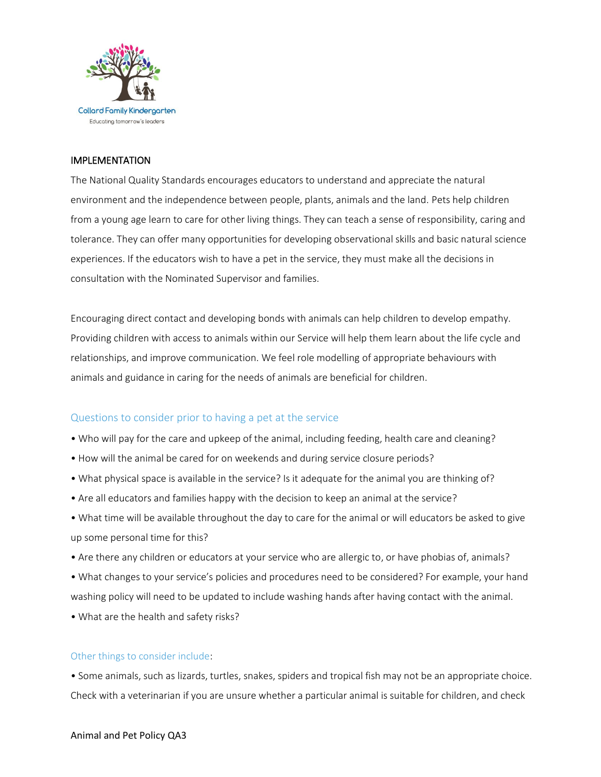

### IMPLEMENTATION

The National Quality Standards encourages educators to understand and appreciate the natural environment and the independence between people, plants, animals and the land. Pets help children from a young age learn to care for other living things. They can teach a sense of responsibility, caring and tolerance. They can offer many opportunities for developing observational skills and basic natural science experiences. If the educators wish to have a pet in the service, they must make all the decisions in consultation with the Nominated Supervisor and families.

Encouraging direct contact and developing bonds with animals can help children to develop empathy. Providing children with access to animals within our Service will help them learn about the life cycle and relationships, and improve communication. We feel role modelling of appropriate behaviours with animals and guidance in caring for the needs of animals are beneficial for children.

# Questions to consider prior to having a pet at the service

- Who will pay for the care and upkeep of the animal, including feeding, health care and cleaning?
- How will the animal be cared for on weekends and during service closure periods?
- What physical space is available in the service? Is it adequate for the animal you are thinking of?
- Are all educators and families happy with the decision to keep an animal at the service?
- What time will be available throughout the day to care for the animal or will educators be asked to give up some personal time for this?
- Are there any children or educators at your service who are allergic to, or have phobias of, animals?
- What changes to your service's policies and procedures need to be considered? For example, your hand washing policy will need to be updated to include washing hands after having contact with the animal.
- What are the health and safety risks?

### Other things to consider include:

• Some animals, such as lizards, turtles, snakes, spiders and tropical fish may not be an appropriate choice. Check with a veterinarian if you are unsure whether a particular animal is suitable for children, and check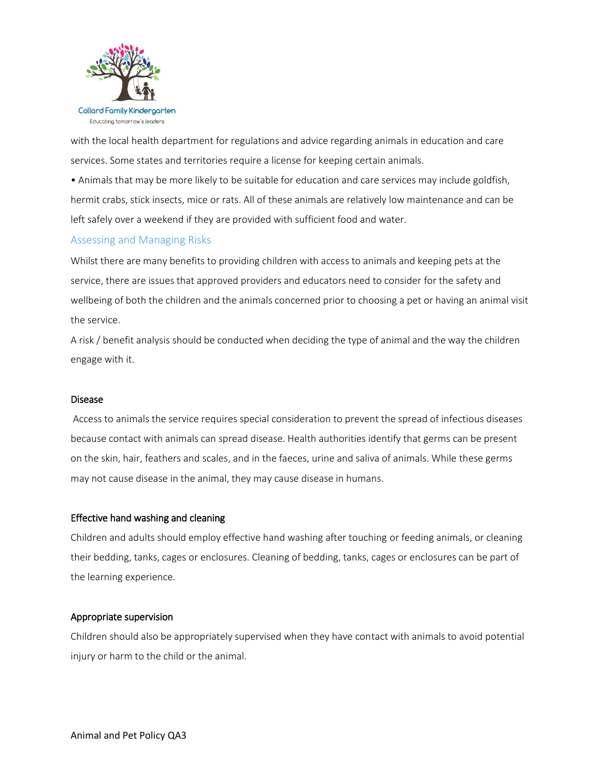

with the local health department for regulations and advice regarding animals in education and care services. Some states and territories require a license for keeping certain animals.

• Animals that may be more likely to be suitable for education and care services may include goldfish, hermit crabs, stick insects, mice or rats. All of these animals are relatively low maintenance and can be left safely over a weekend if they are provided with sufficient food and water.

## Assessing and Managing Risks

Whilst there are many benefits to providing children with access to animals and keeping pets at the service, there are issues that approved providers and educators need to consider for the safety and wellbeing of both the children and the animals concerned prior to choosing a pet or having an animal visit the service.

A risk / benefit analysis should be conducted when deciding the type of animal and the way the children engage with it.

### Disease

Access to animals the service requires special consideration to prevent the spread of infectious diseases because contact with animals can spread disease. Health authorities identify that germs can be present on the skin, hair, feathers and scales, and in the faeces, urine and saliva of animals. While these germs may not cause disease in the animal, they may cause disease in humans.

### Effective hand washing and cleaning

Children and adults should employ effective hand washing after touching or feeding animals, or cleaning their bedding, tanks, cages or enclosures. Cleaning of bedding, tanks, cages or enclosures can be part of the learning experience.

#### Appropriate supervision

Children should also be appropriately supervised when they have contact with animals to avoid potential injury or harm to the child or the animal.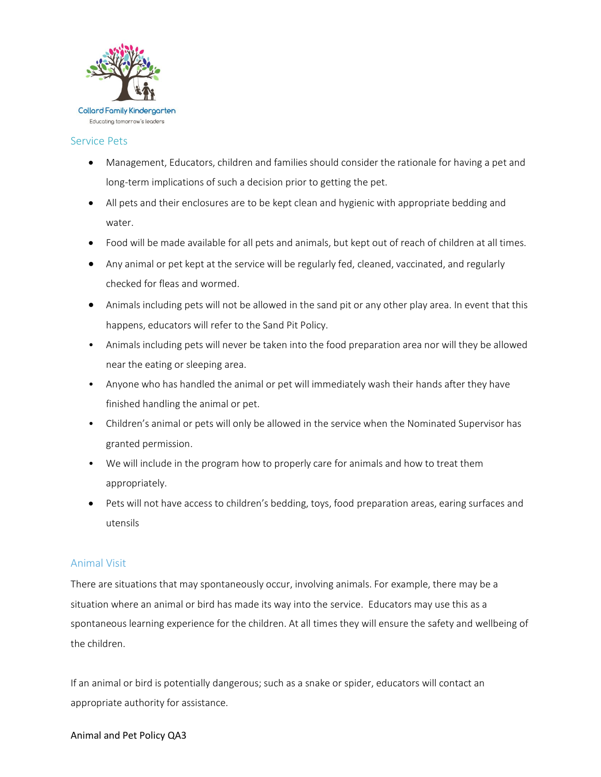

#### Service Pets

- Management, Educators, children and families should consider the rationale for having a pet and long-term implications of such a decision prior to getting the pet.
- All pets and their enclosures are to be kept clean and hygienic with appropriate bedding and water.
- Food will be made available for all pets and animals, but kept out of reach of children at all times.
- Any animal or pet kept at the service will be regularly fed, cleaned, vaccinated, and regularly checked for fleas and wormed.
- Animals including pets will not be allowed in the sand pit or any other play area. In event that this happens, educators will refer to the Sand Pit Policy.
- Animals including pets will never be taken into the food preparation area nor will they be allowed near the eating or sleeping area.
- Anyone who has handled the animal or pet will immediately wash their hands after they have finished handling the animal or pet.
- Children's animal or pets will only be allowed in the service when the Nominated Supervisor has granted permission.
- We will include in the program how to properly care for animals and how to treat them appropriately.
- Pets will not have access to children's bedding, toys, food preparation areas, earing surfaces and utensils

### Animal Visit

There are situations that may spontaneously occur, involving animals. For example, there may be a situation where an animal or bird has made its way into the service. Educators may use this as a spontaneous learning experience for the children. At all times they will ensure the safety and wellbeing of the children.

If an animal or bird is potentially dangerous; such as a snake or spider, educators will contact an appropriate authority for assistance.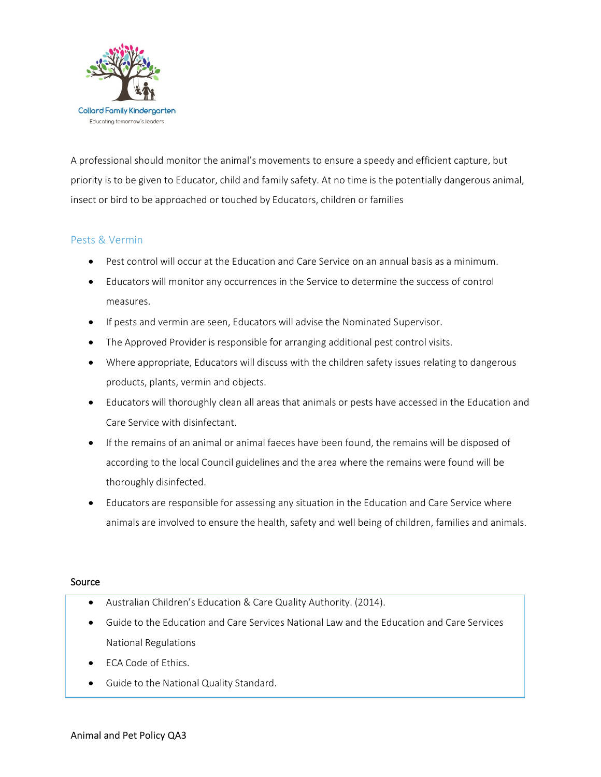

A professional should monitor the animal's movements to ensure a speedy and efficient capture, but priority is to be given to Educator, child and family safety. At no time is the potentially dangerous animal, insect or bird to be approached or touched by Educators, children or families

## Pests & Vermin

- Pest control will occur at the Education and Care Service on an annual basis as a minimum.
- Educators will monitor any occurrences in the Service to determine the success of control measures.
- **If pests and vermin are seen, Educators will advise the Nominated Supervisor.**
- The Approved Provider is responsible for arranging additional pest control visits.
- Where appropriate, Educators will discuss with the children safety issues relating to dangerous products, plants, vermin and objects.
- Educators will thoroughly clean all areas that animals or pests have accessed in the Education and Care Service with disinfectant.
- If the remains of an animal or animal faeces have been found, the remains will be disposed of according to the local Council guidelines and the area where the remains were found will be thoroughly disinfected.
- Educators are responsible for assessing any situation in the Education and Care Service where animals are involved to ensure the health, safety and well being of children, families and animals.

#### Source

- Australian Children's Education & Care Quality Authority. (2014).
- Guide to the Education and Care Services National Law and the Education and Care Services National Regulations
- ECA Code of Ethics.
- Guide to the National Quality Standard.